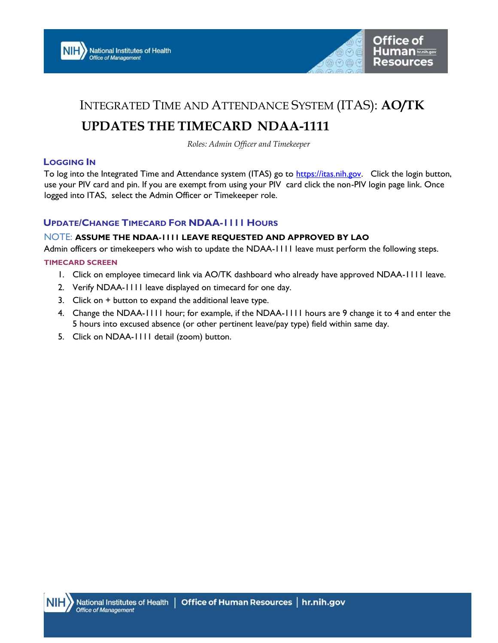



## INTEGRATED TIME AND ATTENDANCE SYSTEM (ITAS): AO/TK

# UPDATES THE TIMECARD NDAA-1111

Roles: Admin Officer and Timekeeper

### LOGGING IN

To log into the Integrated Time and Attendance system (ITAS) go to https://itas.nih.gov. Click the login button, use your PIV card and pin. If you are exempt from using your PIV card click the non-PIV login page link. Once logged into ITAS, select the Admin Officer or Timekeeper role.

## UPDATE/CHANGE TIMECARD FOR NDAA-1111 HOURS

#### NOTE: ASSUME THE NDAA-1111 LEAVE REQUESTED AND APPROVED BY LAO

Admin officers or timekeepers who wish to update the NDAA-1111 leave must perform the following steps.

#### TIMECARD SCREEN

- 1. Click on employee timecard link via AO/TK dashboard who already have approved NDAA-1111 leave.
- 2. Verify NDAA-1111 leave displayed on timecard for one day.
- 3. Click on + button to expand the additional leave type.
- 4. Change the NDAA-1111 hour; for example, if the NDAA-1111 hours are 9 change it to 4 and enter the 5 hours into excused absence (or other pertinent leave/pay type) field within same day.
- 5. Click on NDAA-1111 detail (zoom) button.